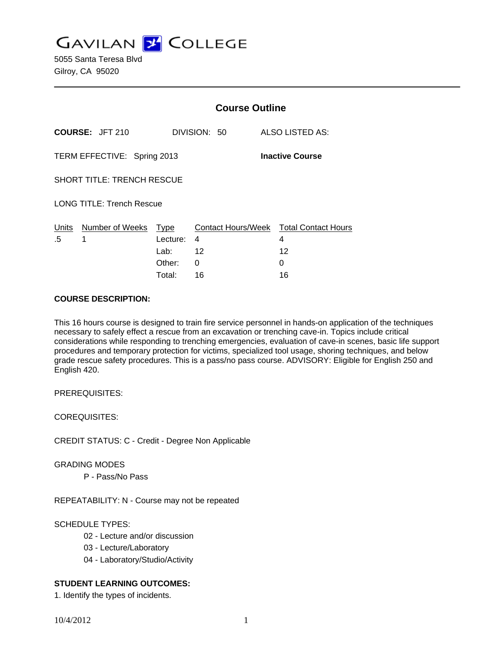**GAVILAN J COLLEGE** 

5055 Santa Teresa Blvd Gilroy, CA 95020

|                                                       |                        | <b>Course Outline</b>                     |               |                                                        |
|-------------------------------------------------------|------------------------|-------------------------------------------|---------------|--------------------------------------------------------|
|                                                       | <b>COURSE: JFT 210</b> |                                           | DIVISION: 50  | ALSO LISTED AS:                                        |
| TERM EFFECTIVE: Spring 2013<br><b>Inactive Course</b> |                        |                                           |               |                                                        |
| <b>SHORT TITLE: TRENCH RESCUE</b>                     |                        |                                           |               |                                                        |
| <b>LONG TITLE: Trench Rescue</b>                      |                        |                                           |               |                                                        |
| <u>Units</u><br>.5                                    | Number of Weeks<br>1   | <u>Type</u><br>Lecture:<br>Lab:<br>Other: | 4<br>-12<br>0 | Contact Hours/Week Total Contact Hours<br>4<br>12<br>0 |
|                                                       |                        | Total:                                    | 16            | 16                                                     |

#### **COURSE DESCRIPTION:**

This 16 hours course is designed to train fire service personnel in hands-on application of the techniques necessary to safely effect a rescue from an excavation or trenching cave-in. Topics include critical considerations while responding to trenching emergencies, evaluation of cave-in scenes, basic life support procedures and temporary protection for victims, specialized tool usage, shoring techniques, and below grade rescue safety procedures. This is a pass/no pass course. ADVISORY: Eligible for English 250 and English 420.

PREREQUISITES:

COREQUISITES:

CREDIT STATUS: C - Credit - Degree Non Applicable

GRADING MODES

P - Pass/No Pass

REPEATABILITY: N - Course may not be repeated

## SCHEDULE TYPES:

- 02 Lecture and/or discussion
- 03 Lecture/Laboratory
- 04 Laboratory/Studio/Activity

## **STUDENT LEARNING OUTCOMES:**

1. Identify the types of incidents.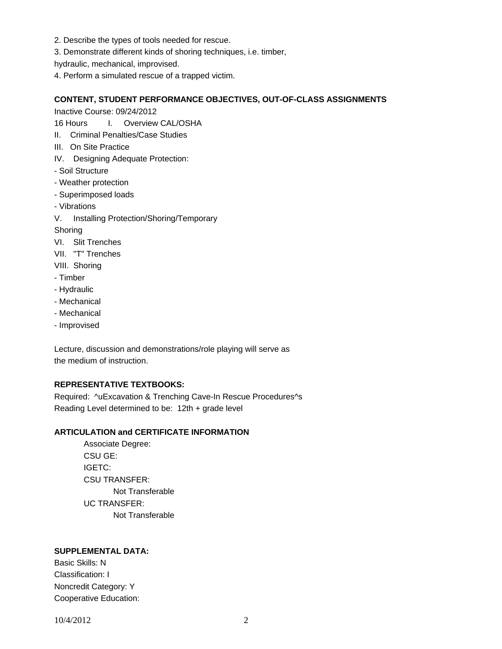- 2. Describe the types of tools needed for rescue.
- 3. Demonstrate different kinds of shoring techniques, i.e. timber,
- hydraulic, mechanical, improvised.
- 4. Perform a simulated rescue of a trapped victim.

#### **CONTENT, STUDENT PERFORMANCE OBJECTIVES, OUT-OF-CLASS ASSIGNMENTS**

Inactive Course: 09/24/2012

16 Hours I. Overview CAL/OSHA

- II. Criminal Penalties/Case Studies
- III. On Site Practice
- IV. Designing Adequate Protection:
- Soil Structure
- Weather protection
- Superimposed loads
- Vibrations
- V. Installing Protection/Shoring/Temporary

Shoring

- VI. Slit Trenches
- VII. "T" Trenches

VIII. Shoring

- Timber
- Hydraulic
- Mechanical
- Mechanical
- Improvised

Lecture, discussion and demonstrations/role playing will serve as the medium of instruction.

# **REPRESENTATIVE TEXTBOOKS:**

Required: ^uExcavation & Trenching Cave-In Rescue Procedures^s Reading Level determined to be: 12th + grade level

# **ARTICULATION and CERTIFICATE INFORMATION**

 Associate Degree: CSU GE: IGETC: CSU TRANSFER: Not Transferable UC TRANSFER: Not Transferable

# **SUPPLEMENTAL DATA:**

Basic Skills: N Classification: I Noncredit Category: Y Cooperative Education: